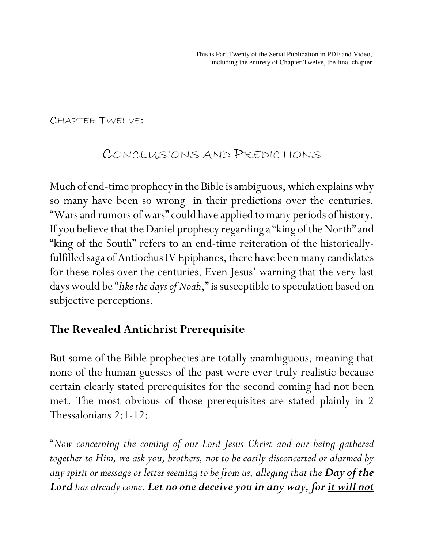#### CHAPTER TWELVE:

## CONCLUSIONS AND PREDICTIONS

Much of end-time prophecy in the Bible is ambiguous, which explains why so many have been so wrong in their predictions over the centuries. "Wars and rumors of wars" could have applied to many periods of history. If you believe that the Daniel prophecy regarding a "king of the North" and "king of the South" refers to an end-time reiteration of the historicallyfulfilled saga of Antiochus IV Epiphanes, there have been many candidates for these roles over the centuries. Even Jesus' warning that the very last days would be "*like the days of Noah*," is susceptible to speculation based on subjective perceptions.

### **The Revealed Antichrist Prerequisite**

But some of the Bible prophecies are totally *un*ambiguous, meaning that none of the human guesses of the past were ever truly realistic because certain clearly stated prerequisites for the second coming had not been met. The most obvious of those prerequisites are stated plainly in 2 Thessalonians 2:1-12:

"*Now concerning the coming of our Lord Jesus Christ and our being gathered together to Him, we ask you, brothers, not to be easily disconcerted or alarmed by any spirit or message or letter seeming to be from us, alleging that the Day of the Lord has already come. Let no one deceive you in any way, for it will not*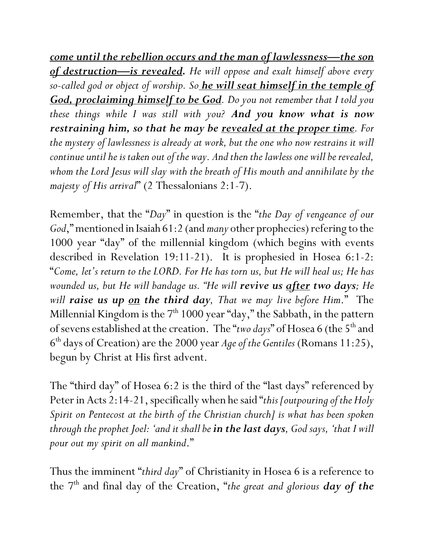*come until the rebellion occurs and the man of lawlessness—the son of destruction—is revealed. He will oppose and exalt himself above every so-called god or object of worship. So he will seat himself in the temple of God, proclaiming himself to be God. Do you not remember that I told you these things while I was still with you? And you know what is now restraining him, so that he may be revealed at the proper time. For the mystery of lawlessness is already at work, but the one who now restrains it will continue until he is taken out of the way. And then the lawless one will be revealed, whom the Lord Jesus will slay with the breath of His mouth and annihilate by the majesty of His arrival*" (2 Thessalonians 2:1-7).

Remember, that the "*Day*" in question is the "*the Day of vengeance of our God*," mentioned in Isaiah 61:2 (and *many* other prophecies) refering to the 1000 year "day" of the millennial kingdom (which begins with events described in Revelation 19:11-21). It is prophesied in Hosea 6:1-2: "*Come, let's return to the LORD. For He has torn us, but He will heal us; He has wounded us, but He will bandage us. "He will revive us after two days; He will raise us up on the third day, That we may live before Him*." The Millennial Kingdom is the  $7<sup>th</sup> 1000$  year "day," the Sabbath, in the pattern of sevens established at the creation. The "*two days*" of Hosea 6 (the 5<sup>th</sup> and 6 th days of Creation) are the 2000 year *Age of the Gentiles* (Romans 11:25), begun by Christ at His first advent.

The "third day" of Hosea 6:2 is the third of the "last days" referenced by Peter in Acts 2:14-21, specifically when he said "*this [outpouring of the Holy Spirit on Pentecost at the birth of the Christian church] is what has been spoken through the prophet Joel: 'and it shall be in the last days, God says, 'that I will pour out my spirit on all mankind*."

Thus the imminent "*third day*" of Christianity in Hosea 6 is a reference to the 7th and final day of the Creation, "*the great and glorious day of the*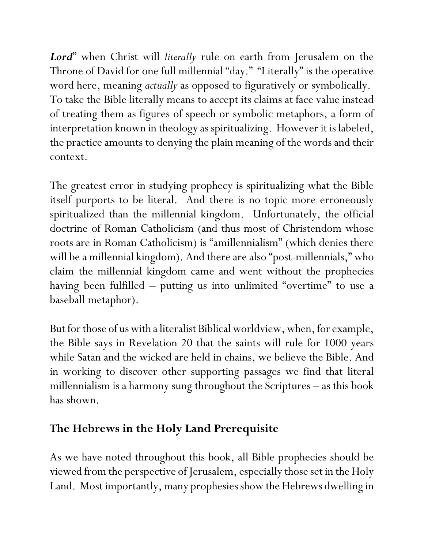*Lord*" when Christ will *literally* rule on earth from Jerusalem on the Throne of David for one full millennial "day." "Literally" is the operative word here, meaning *actually* as opposed to figuratively or symbolically. To take the Bible literally means to accept its claims at face value instead of treating them as figures of speech or symbolic metaphors, a form of interpretation known in theology as spiritualizing. However it is labeled, the practice amounts to denying the plain meaning of the words and their context.

The greatest error in studying prophecy is spiritualizing what the Bible itself purports to be literal. And there is no topic more erroneously spiritualized than the millennial kingdom. Unfortunately, the official doctrine of Roman Catholicism (and thus most of Christendom whose roots are in Roman Catholicism) is "amillennialism" (which denies there will be a millennial kingdom). And there are also "post-millennials," who claim the millennial kingdom came and went without the prophecies having been fulfilled – putting us into unlimited "overtime" to use a baseball metaphor).

But for those of us with a literalist Biblical worldview, when, for example, the Bible says in Revelation 20 that the saints will rule for 1000 years while Satan and the wicked are held in chains, we believe the Bible. And in working to discover other supporting passages we find that literal millennialism is a harmony sung throughout the Scriptures – as this book has shown.

### **The Hebrews in the Holy Land Prerequisite**

As we have noted throughout this book, all Bible prophecies should be viewed from the perspective of Jerusalem, especially those set in the Holy Land. Most importantly, many prophesies show the Hebrews dwelling in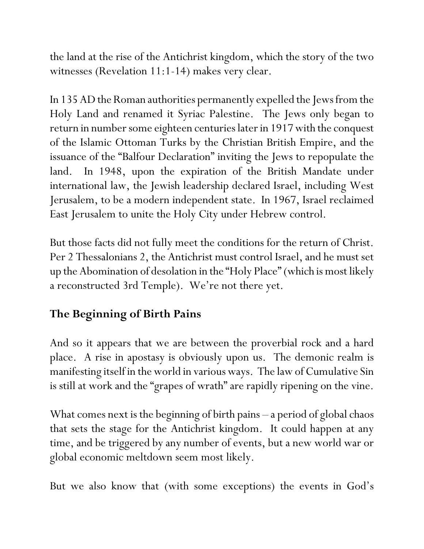the land at the rise of the Antichrist kingdom, which the story of the two witnesses (Revelation 11:1-14) makes very clear.

In 135 AD the Roman authorities permanently expelled the Jews from the Holy Land and renamed it Syriac Palestine. The Jews only began to return in number some eighteen centuries later in 1917 with the conquest of the Islamic Ottoman Turks by the Christian British Empire, and the issuance of the "Balfour Declaration" inviting the Jews to repopulate the land. In 1948, upon the expiration of the British Mandate under international law, the Jewish leadership declared Israel, including West Jerusalem, to be a modern independent state. In 1967, Israel reclaimed East Jerusalem to unite the Holy City under Hebrew control.

But those facts did not fully meet the conditions for the return of Christ. Per 2 Thessalonians 2, the Antichrist must control Israel, and he must set up the Abomination of desolation in the "Holy Place" (which is most likely a reconstructed 3rd Temple). We're not there yet.

# **The Beginning of Birth Pains**

And so it appears that we are between the proverbial rock and a hard place. A rise in apostasy is obviously upon us. The demonic realm is manifesting itself in the world in various ways. The law of Cumulative Sin is still at work and the "grapes of wrath" are rapidly ripening on the vine.

What comes next is the beginning of birth pains – a period of global chaos that sets the stage for the Antichrist kingdom. It could happen at any time, and be triggered by any number of events, but a new world war or global economic meltdown seem most likely.

But we also know that (with some exceptions) the events in God's